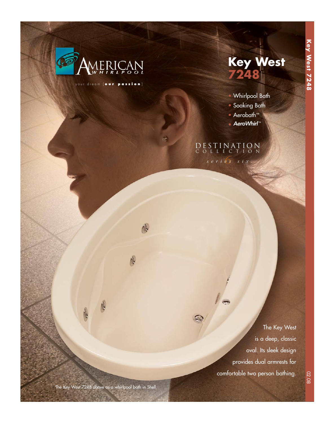

your dream [ **our passion** ]

6

6



- Whirlpool Bath
- Soaking Bath
- Aerobath™
- AeroWhirl™

# DESTINATION COLLECTION

*6 series six* 

The Key West is a deep, classic oval. Its sleek design provides dual armrests for comfortable two person bathing.

6